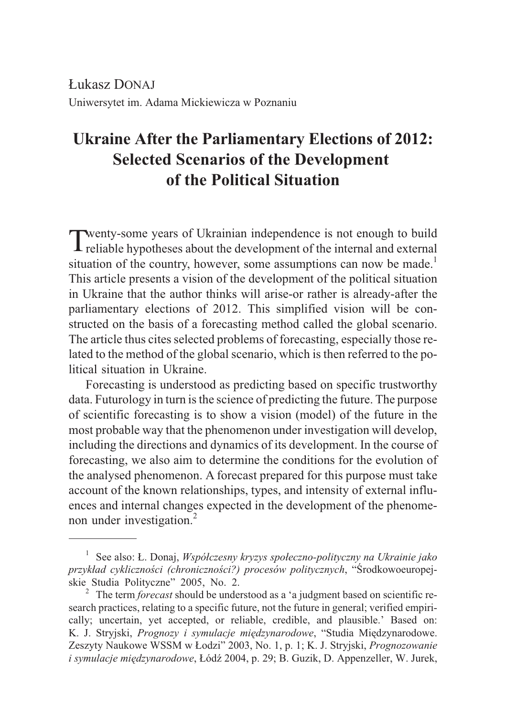£ukasz DONAJ Uniwersytet im. Adama Mickiewicza w Poznaniu

# **Ukraine After the Parliamentary Elections of 2012: Selected Scenarios of the Development of the Political Situation**

Twenty-some years of Ukrainian independence is not enough to build reliable hypotheses about the development of the internal and external situation of the country, however, some assumptions can now be made.<sup>1</sup> This article presents a vision of the development of the political situation in Ukraine that the author thinks will arise-or rather is already-after the parliamentary elections of 2012. This simplified vision will be constructed on the basis of a forecasting method called the global scenario. The article thus cites selected problems of forecasting, especially those related to the method of the global scenario, which is then referred to the political situation in Ukraine.

Forecasting is understood as predicting based on specific trustworthy data. Futurology in turn is the science of predicting the future. The purpose of scientific forecasting is to show a vision (model) of the future in the most probable way that the phenomenon under investigation will develop, including the directions and dynamics of its development. In the course of forecasting, we also aim to determine the conditions for the evolution of the analysed phenomenon. A forecast prepared for this purpose must take account of the known relationships, types, and intensity of external influences and internal changes expected in the development of the phenomenon under investigation.<sup>2</sup>

<sup>1</sup> See also: £. Donaj, *Wspó³czesny kryzys spo³eczno-polityczny na Ukrainie jako przyk³ad cyklicznoœci (chronicznoœci?) procesów politycznych*, "Œrodkowoeuropejskie Studia Polityczne" 2005, No. 2. <sup>2</sup> The term *forecast* should be understood as a 'a judgment based on scientific re-

search practices, relating to a specific future, not the future in general; verified empirically; uncertain, yet accepted, or reliable, credible, and plausible.' Based on: K. J. Stryjski, *Prognozy i symulacje miêdzynarodowe*, "Studia Miêdzynarodowe. Zeszyty Naukowe WSSM w £odzi" 2003, No. 1, p. 1; K. J. Stryjski, *Prognozowanie i symulacje międzynarodowe*, Łódź 2004, p. 29; B. Guzik, D. Appenzeller, W. Jurek,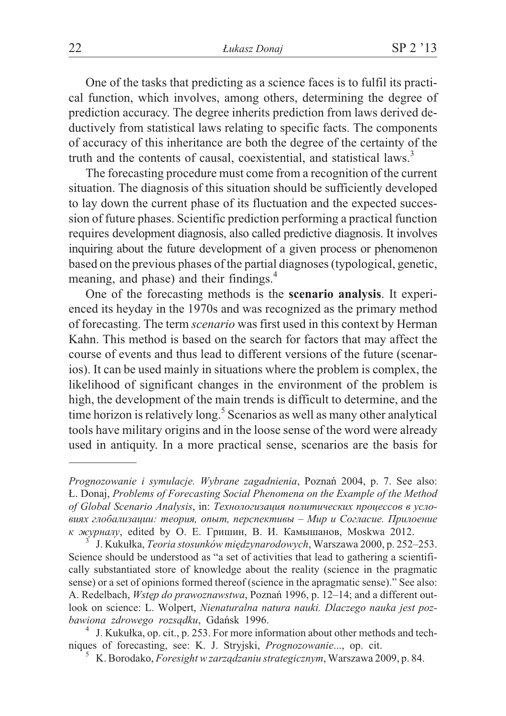One of the tasks that predicting as a science faces is to fulfil its practical function, which involves, among others, determining the degree of prediction accuracy. The degree inherits prediction from laws derived deductively from statistical laws relating to specific facts. The components of accuracy of this inheritance are both the degree of the certainty of the truth and the contents of causal, coexistential, and statistical laws.<sup>3</sup>

The forecasting procedure must come from a recognition of the current situation. The diagnosis of this situation should be sufficiently developed to lay down the current phase of its fluctuation and the expected succession of future phases. Scientific prediction performing a practical function requires development diagnosis, also called predictive diagnosis. It involves inquiring about the future development of a given process or phenomenon based on the previous phases of the partial diagnoses (typological, genetic, meaning, and phase) and their findings.<sup>4</sup>

One of the forecasting methods is the **scenario analysis**. It experienced its heyday in the 1970s and was recognized as the primary method of forecasting. The term *scenario* was first used in this context by Herman Kahn. This method is based on the search for factors that may affect the course of events and thus lead to different versions of the future (scenarios). It can be used mainly in situations where the problem is complex, the likelihood of significant changes in the environment of the problem is high, the development of the main trends is difficult to determine, and the time horizon is relatively long.<sup>5</sup> Scenarios as well as many other analytical tools have military origins and in the loose sense of the word were already used in antiquity. In a more practical sense, scenarios are the basis for

*Prognozowanie i symulacje. Wybrane zagadnienia*, Poznañ 2004, p. 7. See also: £. Donaj, *Problems of Forecasting Social Phenomena on the Example of the Method* of Global Scenario Analysis, in: Технологизация политических процессов в усло*âèÿõ ãëîáàëèçàöèè: òåîðèÿ, îïûò, ïåðñïåêòèâû – Ìèð è Ñîãëàñèå. Ïðèëîåíèå k журналу*, edited by О. Е. Гришин, В. И. Камышанов, Moskwa 2012. <sup>3</sup> J. Kukułka, *Teoria stosunków międzynarodowych*, Warszawa 2000, p. 252–253.

Science should be understood as "a set of activities that lead to gathering a scientifically substantiated store of knowledge about the reality (science in the pragmatic sense) or a set of opinions formed thereof (science in the apragmatic sense)." See also: A. Redelbach, *Wstêp do prawoznawstwa*, Poznañ 1996, p. 12–14; and a different outlook on science: L. Wolpert, *Nienaturalna natura nauki. Dlaczego nauka jest poz-*

*bawiona zdrowego rozsądku*, Gdańsk 1996.<br><sup>4</sup> J. Kukułka, op. cit., p. 253. For more information about other methods and tech-<br>niques of forecasting, see: K. J. Stryjski, *Prognozowanie*..., op. cit.

<sup>&</sup>lt;sup>5</sup> K. Borodako, *Foresight w zarządzaniu strategicznym*, Warszawa 2009, p. 84.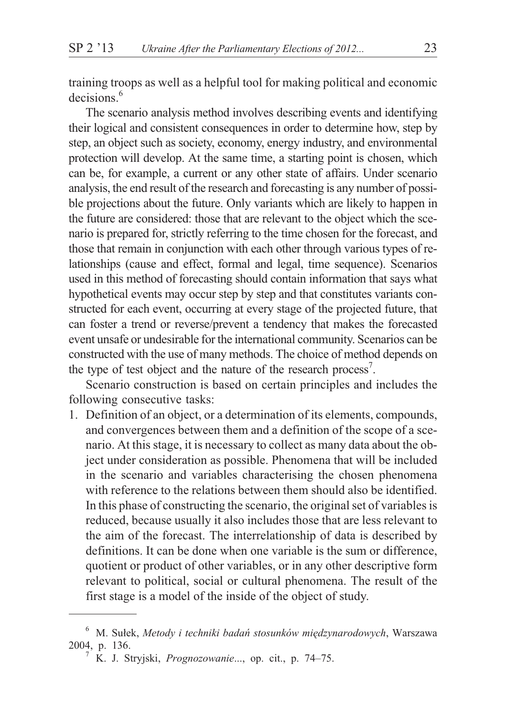training troops as well as a helpful tool for making political and economic  $decisions$ <sup>6</sup>

The scenario analysis method involves describing events and identifying their logical and consistent consequences in order to determine how, step by step, an object such as society, economy, energy industry, and environmental protection will develop. At the same time, a starting point is chosen, which can be, for example, a current or any other state of affairs. Under scenario analysis, the end result of the research and forecasting is any number of possible projections about the future. Only variants which are likely to happen in the future are considered: those that are relevant to the object which the scenario is prepared for, strictly referring to the time chosen for the forecast, and those that remain in conjunction with each other through various types of relationships (cause and effect, formal and legal, time sequence). Scenarios used in this method of forecasting should contain information that says what hypothetical events may occur step by step and that constitutes variants constructed for each event, occurring at every stage of the projected future, that can foster a trend or reverse/prevent a tendency that makes the forecasted event unsafe or undesirable for the international community. Scenarios can be constructed with the use of many methods. The choice of method depends on the type of test object and the nature of the research process<sup>7</sup>.

Scenario construction is based on certain principles and includes the following consecutive tasks:

1. Definition of an object, or a determination of its elements, compounds, and convergences between them and a definition of the scope of a scenario. At this stage, it is necessary to collect as many data about the object under consideration as possible. Phenomena that will be included in the scenario and variables characterising the chosen phenomena with reference to the relations between them should also be identified. In this phase of constructing the scenario, the original set of variables is reduced, because usually it also includes those that are less relevant to the aim of the forecast. The interrelationship of data is described by definitions. It can be done when one variable is the sum or difference, quotient or product of other variables, or in any other descriptive form relevant to political, social or cultural phenomena. The result of the first stage is a model of the inside of the object of study.

<sup>&</sup>lt;sup>6</sup> M. Sułek, Metody i techniki badań stosunków międzynarodowych, Warszawa 2004, p. 136. <sup>7</sup> K. J. Stryjski, *Prognozowanie*..., op. cit., p. 74–75.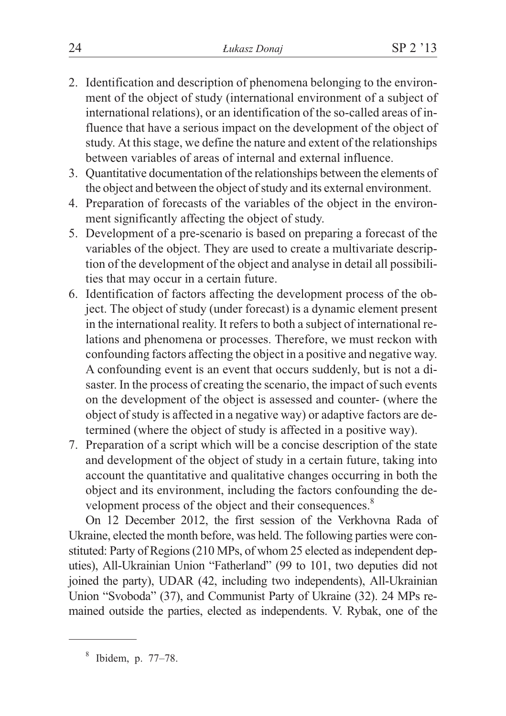- 2. Identification and description of phenomena belonging to the environment of the object of study (international environment of a subject of international relations), or an identification of the so-called areas of influence that have a serious impact on the development of the object of study. At this stage, we define the nature and extent of the relationships between variables of areas of internal and external influence.
- 3. Quantitative documentation of the relationships between the elements of the object and between the object of study and its external environment.
- 4. Preparation of forecasts of the variables of the object in the environment significantly affecting the object of study.
- 5. Development of a pre-scenario is based on preparing a forecast of the variables of the object. They are used to create a multivariate description of the development of the object and analyse in detail all possibilities that may occur in a certain future.
- 6. Identification of factors affecting the development process of the object. The object of study (under forecast) is a dynamic element present in the international reality. It refers to both a subject of international relations and phenomena or processes. Therefore, we must reckon with confounding factors affecting the object in a positive and negative way. A confounding event is an event that occurs suddenly, but is not a disaster. In the process of creating the scenario, the impact of such events on the development of the object is assessed and counter- (where the object of study is affected in a negative way) or adaptive factors are determined (where the object of study is affected in a positive way).
- 7. Preparation of a script which will be a concise description of the state and development of the object of study in a certain future, taking into account the quantitative and qualitative changes occurring in both the object and its environment, including the factors confounding the development process of the object and their consequences.<sup>8</sup>

On 12 December 2012, the first session of the Verkhovna Rada of Ukraine, elected the month before, was held. The following parties were constituted: Party of Regions (210 MPs, of whom 25 elected as independent deputies), All-Ukrainian Union "Fatherland" (99 to 101, two deputies did not joined the party), UDAR (42, including two independents), All-Ukrainian Union "Svoboda" (37), and Communist Party of Ukraine (32). 24 MPs remained outside the parties, elected as independents. V. Rybak, one of the

<sup>8</sup> Ibidem, p. 77–78.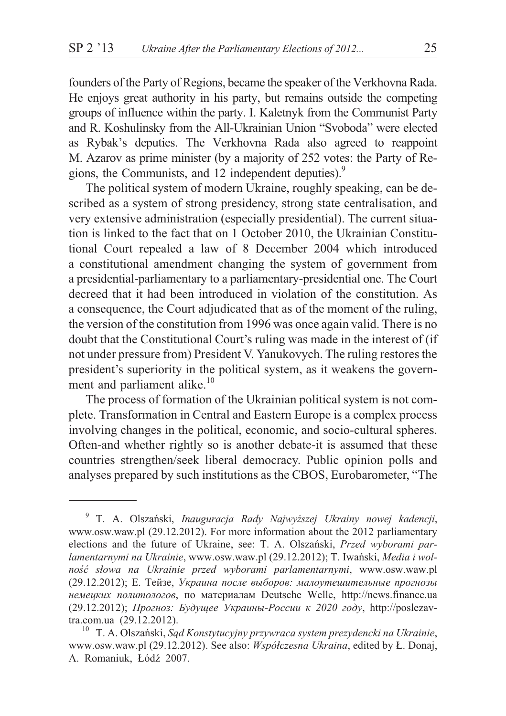founders of the Party of Regions, became the speaker of the Verkhovna Rada. He enjoys great authority in his party, but remains outside the competing groups of influence within the party. I. Kaletnyk from the Communist Party and R. Koshulinsky from the All-Ukrainian Union "Svoboda" were elected as Rybak's deputies. The Verkhovna Rada also agreed to reappoint M. Azarov as prime minister (by a majority of 252 votes: the Party of Regions, the Communists, and 12 independent deputies).<sup>9</sup>

The political system of modern Ukraine, roughly speaking, can be described as a system of strong presidency, strong state centralisation, and very extensive administration (especially presidential). The current situation is linked to the fact that on 1 October 2010, the Ukrainian Constitutional Court repealed a law of 8 December 2004 which introduced a constitutional amendment changing the system of government from a presidential-parliamentary to a parliamentary-presidential one. The Court decreed that it had been introduced in violation of the constitution. As a consequence, the Court adjudicated that as of the moment of the ruling, the version of the constitution from 1996 was once again valid. There is no doubt that the Constitutional Court's ruling was made in the interest of (if not under pressure from) President V. Yanukovych. The ruling restores the president's superiority in the political system, as it weakens the government and parliament alike.<sup>10</sup>

The process of formation of the Ukrainian political system is not complete. Transformation in Central and Eastern Europe is a complex process involving changes in the political, economic, and socio-cultural spheres. Often-and whether rightly so is another debate-it is assumed that these countries strengthen/seek liberal democracy. Public opinion polls and analyses prepared by such institutions as the CBOS, Eurobarometer, "The

<sup>9</sup> T. A. Olszañski, *Inauguracja Rady Najwy¿szej Ukrainy nowej kadencji*, www.osw.waw.pl (29.12.2012). For more information about the 2012 parliamentary elections and the future of Ukraine, see: T. A. Olszañski, *Przed wyborami parlamentarnymi na Ukrainie*, www.osw.waw.pl (29.12.2012); T. Iwañski, *Media i wolnoœæ s³owa na Ukrainie przed wyborami parlamentarnymi*, www.osw.waw.pl (29.12.2012); Е. Тейзе, *Украина после выборов: малоутешительные прогнозы немецких политологов*, по материалам Deutsche Welle, http://news.finance.ua (29.12.2012); *Прогноз: Будущее Украины-России к 2020 году*, http://poslezavtra.com.ua (29.12.2012).<br><sup>10</sup> T. A. Olszański, *Sąd Konstytucyjny przywraca system prezydencki na Ukrainie*,

www.osw.waw.pl (29.12.2012). See also: *Współczesna Ukraina*, edited by Ł. Donaj, A. Romaniuk, Łódź 2007.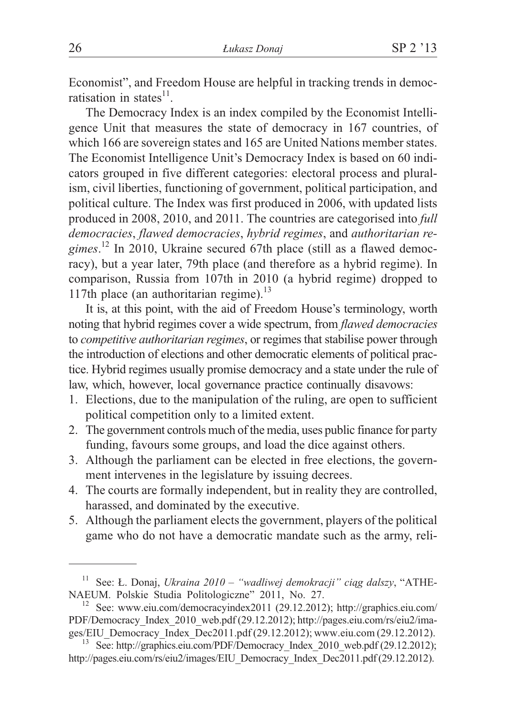Economist", and Freedom House are helpful in tracking trends in democratisation in states<sup>11</sup>

The Democracy Index is an index compiled by the Economist Intelligence Unit that measures the state of democracy in 167 countries, of which 166 are sovereign states and 165 are United Nations member states. The Economist Intelligence Unit's Democracy Index is based on 60 indicators grouped in five different categories: electoral process and pluralism, civil liberties, functioning of government, political participation, and political culture. The Index was first produced in 2006, with updated lists produced in 2008, 2010, and 2011. The countries are categorised into *full democracies*, *flawed democracies*, *hybrid regimes*, and *authoritarian regimes*. <sup>12</sup> In 2010, Ukraine secured 67th place (still as a flawed democracy), but a year later, 79th place (and therefore as a hybrid regime). In comparison, Russia from 107th in 2010 (a hybrid regime) dropped to 117th place (an authoritarian regime). $^{13}$ 

It is, at this point, with the aid of Freedom House's terminology, worth noting that hybrid regimes cover a wide spectrum, from *flawed democracies* to *competitive authoritarian regimes*, or regimes that stabilise power through the introduction of elections and other democratic elements of political practice. Hybrid regimes usually promise democracy and a state under the rule of law, which, however, local governance practice continually disavows:

- 1. Elections, due to the manipulation of the ruling, are open to sufficient political competition only to a limited extent.
- 2. The government controls much of the media, uses public finance for party funding, favours some groups, and load the dice against others.
- 3. Although the parliament can be elected in free elections, the government intervenes in the legislature by issuing decrees.
- 4. The courts are formally independent, but in reality they are controlled, harassed, and dominated by the executive.
- 5. Although the parliament elects the government, players of the political game who do not have a democratic mandate such as the army, reli-

<sup>&</sup>lt;sup>11</sup> See: Ł. Donaj, *Ukraina 2010 – "wadliwej demokracji" ciąg dalszy*, "ATHE-NAEUM. Polskie Studia Politologiczne" 2011, No. 27.

 $12$  See: www.eiu.com/democracyindex2011 (29.12.2012); http://graphics.eiu.com/ PDF/Democracy\_Index\_2010\_web.pdf (29.12.2012); http://pages.eiu.com/rs/eiu2/images/EIU\_Democracy\_Index\_Dec2011.pdf (29.12.2012); www.eiu.com (29.12.2012). <sup>13</sup> See: http://graphics.eiu.com/PDF/Democracy\_Index\_2010\_web.pdf (29.12.2012);

http://pages.eiu.com/rs/eiu2/images/EIU\_Democracy\_Index\_Dec2011.pdf (29.12.2012).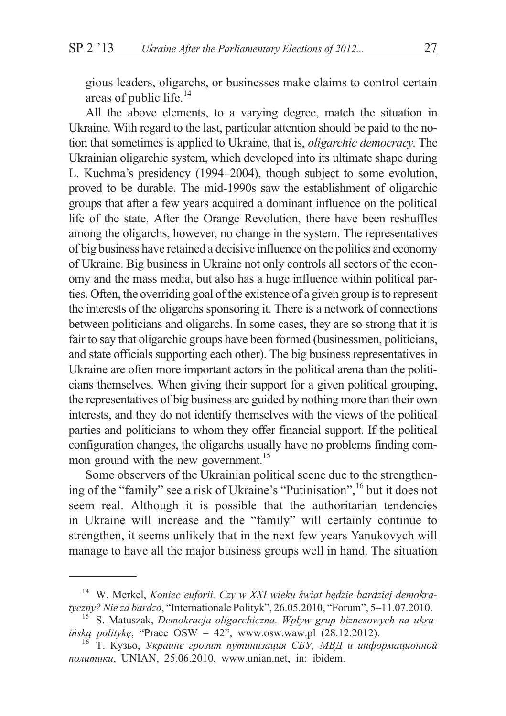gious leaders, oligarchs, or businesses make claims to control certain areas of public life.<sup>14</sup>

All the above elements, to a varying degree, match the situation in Ukraine. With regard to the last, particular attention should be paid to the notion that sometimes is applied to Ukraine, that is, *oligarchic democracy*. The Ukrainian oligarchic system, which developed into its ultimate shape during L. Kuchma's presidency (1994–2004), though subject to some evolution, proved to be durable. The mid-1990s saw the establishment of oligarchic groups that after a few years acquired a dominant influence on the political life of the state. After the Orange Revolution, there have been reshuffles among the oligarchs, however, no change in the system. The representatives of big business have retained a decisive influence on the politics and economy of Ukraine. Big business in Ukraine not only controls all sectors of the economy and the mass media, but also has a huge influence within political parties. Often, the overriding goal of the existence of a given group is to represent the interests of the oligarchs sponsoring it. There is a network of connections between politicians and oligarchs. In some cases, they are so strong that it is fair to say that oligarchic groups have been formed (businessmen, politicians, and state officials supporting each other). The big business representatives in Ukraine are often more important actors in the political arena than the politicians themselves. When giving their support for a given political grouping, the representatives of big business are guided by nothing more than their own interests, and they do not identify themselves with the views of the political parties and politicians to whom they offer financial support. If the political configuration changes, the oligarchs usually have no problems finding common ground with the new government.<sup>15</sup>

Some observers of the Ukrainian political scene due to the strengthening of the "family" see a risk of Ukraine's "Putinisation",<sup>16</sup> but it does not seem real. Although it is possible that the authoritarian tendencies in Ukraine will increase and the "family" will certainly continue to strengthen, it seems unlikely that in the next few years Yanukovych will manage to have all the major business groups well in hand. The situation

<sup>&</sup>lt;sup>14</sup> W. Merkel, *Koniec euforii. Czy w XXI wieku świat będzie bardziej demokratyczny? Nie za bardzo, "Internationale Polityk", 26.05.2010, "Forum", 5–11.07.2010.* 

<sup>&</sup>lt;sup>15</sup> S. Matuszak, Demokracja oligarchiczna. Wpływ grup biznesowych na ukra*ińską politykę*, "Prace OSW – 42", www.osw.waw.pl (28.12.2012).<br><sup>16</sup> *Т. Кузьо, Украине грозит путинизация СБУ, МВД и информационной* 

*политики*, UNIAN, 25.06.2010, www.unian.net, in: ibidem.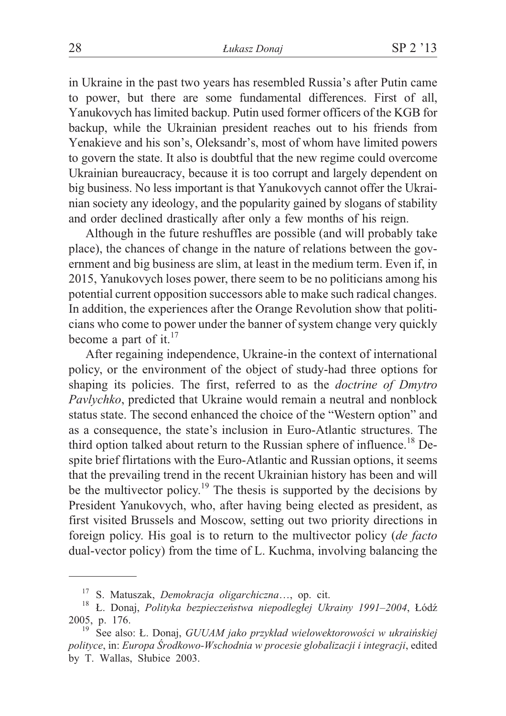in Ukraine in the past two years has resembled Russia's after Putin came to power, but there are some fundamental differences. First of all, Yanukovych has limited backup. Putin used former officers of the KGB for backup, while the Ukrainian president reaches out to his friends from Yenakieve and his son's, Oleksandr's, most of whom have limited powers to govern the state. It also is doubtful that the new regime could overcome Ukrainian bureaucracy, because it is too corrupt and largely dependent on big business. No less important is that Yanukovych cannot offer the Ukrainian society any ideology, and the popularity gained by slogans of stability and order declined drastically after only a few months of his reign.

Although in the future reshuffles are possible (and will probably take place), the chances of change in the nature of relations between the government and big business are slim, at least in the medium term. Even if, in 2015, Yanukovych loses power, there seem to be no politicians among his potential current opposition successors able to make such radical changes. In addition, the experiences after the Orange Revolution show that politicians who come to power under the banner of system change very quickly become a part of it. $17$ 

After regaining independence, Ukraine-in the context of international policy, or the environment of the object of study-had three options for shaping its policies. The first, referred to as the *doctrine of Dmytro Pavlychko*, predicted that Ukraine would remain a neutral and nonblock status state. The second enhanced the choice of the "Western option" and as a consequence, the state's inclusion in Euro-Atlantic structures. The third option talked about return to the Russian sphere of influence.<sup>18</sup> Despite brief flirtations with the Euro-Atlantic and Russian options, it seems that the prevailing trend in the recent Ukrainian history has been and will be the multivector policy.<sup>19</sup> The thesis is supported by the decisions by President Yanukovych, who, after having being elected as president, as first visited Brussels and Moscow, setting out two priority directions in foreign policy. His goal is to return to the multivector policy (*de facto* dual-vector policy) from the time of L. Kuchma, involving balancing the

<sup>&</sup>lt;sup>17</sup> S. Matuszak, *Demokracja oligarchiczna*…, op. cit.<br><sup>18</sup> Ł. Donaj, *Polityka bezpieczeństwa niepodległej Ukrainy 1991–2004*, Łódź 2005, p. 176.<br><sup>19</sup> See also: Ł. Donaj, *GUUAM jako przykład wielowektorowości w ukraińskiej* 

*polityce*, in: *Europa Œrodkowo-Wschodnia w procesie globalizacji i integracji*, edited by T. Wallas, Słubice 2003.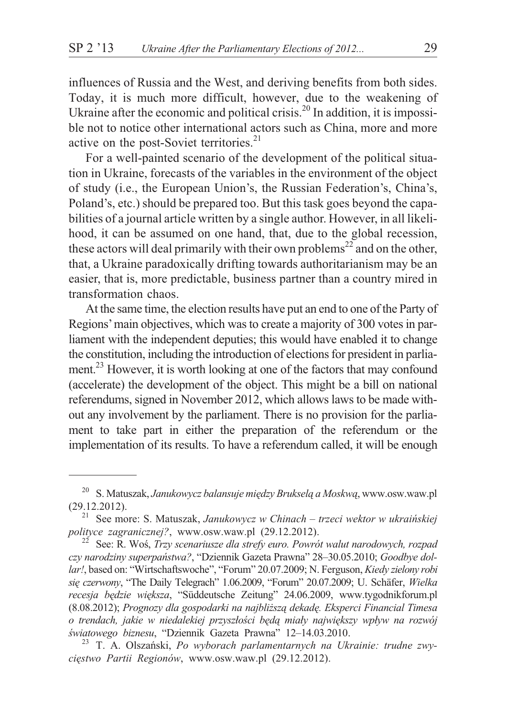influences of Russia and the West, and deriving benefits from both sides. Today, it is much more difficult, however, due to the weakening of Ukraine after the economic and political crisis.<sup>20</sup> In addition, it is impossible not to notice other international actors such as China, more and more active on the post-Soviet territories. $21$ 

For a well-painted scenario of the development of the political situation in Ukraine, forecasts of the variables in the environment of the object of study (i.e., the European Union's, the Russian Federation's, China's, Poland's, etc.) should be prepared too. But this task goes beyond the capabilities of a journal article written by a single author. However, in all likelihood, it can be assumed on one hand, that, due to the global recession, these actors will deal primarily with their own problems<sup>22</sup> and on the other, that, a Ukraine paradoxically drifting towards authoritarianism may be an easier, that is, more predictable, business partner than a country mired in transformation chaos.

At the same time, the election results have put an end to one of the Party of Regions'main objectives, which was to create a majority of 300 votes in parliament with the independent deputies; this would have enabled it to change the constitution, including the introduction of elections for president in parliament.<sup>23</sup> However, it is worth looking at one of the factors that may confound (accelerate) the development of the object. This might be a bill on national referendums, signed in November 2012, which allows laws to be made without any involvement by the parliament. There is no provision for the parliament to take part in either the preparation of the referendum or the implementation of its results. To have a referendum called, it will be enough

<sup>&</sup>lt;sup>20</sup> S. Matuszak, Janukowycz balansuje między Brukselą a Moskwą, www.osw.waw.pl

<sup>(29.12.2012).</sup> <sup>21</sup> See more: S. Matuszak, *Janukowycz w Chinach – trzeci wektor w ukraiñskiej*

See: R. Woś, Trzy scenariusze dla strefy euro. Powrót walut narodowych, rozpad *czy narodziny superpañstwa?*, "Dziennik Gazeta Prawna" 28–30.05.2010; *Goodbye dollar!*, based on: "Wirtschaftswoche", "Forum" 20.07.2009; N. Ferguson, *Kiedy zielony robi siê czerwony*, "The Daily Telegrach" 1.06.2009, "Forum" 20.07.2009; U. Schäfer, *Wielka recesja bêdzie wiêksza*, "Süddeutsche Zeitung" 24.06.2009, www.tygodnikforum.pl (8.08.2012); *Prognozy dla gospodarki na najbli¿sz¹ dekadê. Eksperci Financial Timesa* o trendach, jakie w niedalekiej przyszłości będą miały największy wpływ na rozwój *œwiatowego biznesu*, "Dziennik Gazeta Prawna" 12–14.03.2010. <sup>23</sup> T. A. Olszañski, *Po wyborach parlamentarnych na Ukrainie: trudne zwy-*

*ciêstwo Partii Regionów*, www.osw.waw.pl (29.12.2012).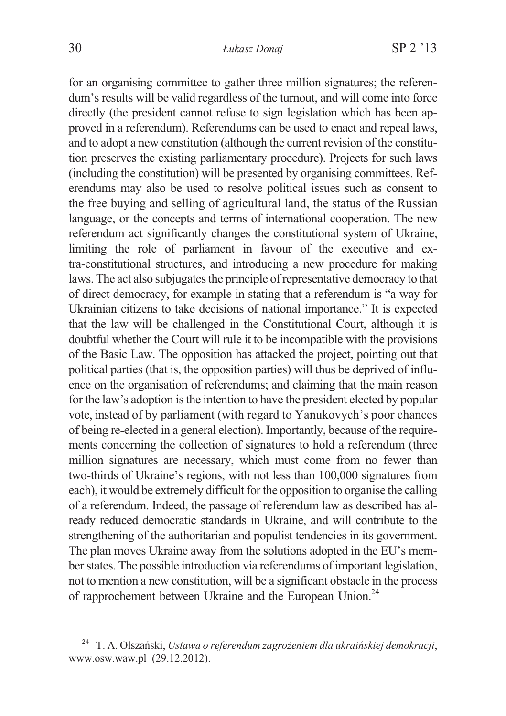for an organising committee to gather three million signatures; the referendum's results will be valid regardless of the turnout, and will come into force directly (the president cannot refuse to sign legislation which has been approved in a referendum). Referendums can be used to enact and repeal laws, and to adopt a new constitution (although the current revision of the constitution preserves the existing parliamentary procedure). Projects for such laws (including the constitution) will be presented by organising committees. Referendums may also be used to resolve political issues such as consent to the free buying and selling of agricultural land, the status of the Russian language, or the concepts and terms of international cooperation. The new referendum act significantly changes the constitutional system of Ukraine, limiting the role of parliament in favour of the executive and extra-constitutional structures, and introducing a new procedure for making laws. The act also subjugates the principle of representative democracy to that of direct democracy, for example in stating that a referendum is "a way for Ukrainian citizens to take decisions of national importance." It is expected that the law will be challenged in the Constitutional Court, although it is doubtful whether the Court will rule it to be incompatible with the provisions of the Basic Law. The opposition has attacked the project, pointing out that political parties (that is, the opposition parties) will thus be deprived of influence on the organisation of referendums; and claiming that the main reason for the law's adoption is the intention to have the president elected by popular vote, instead of by parliament (with regard to Yanukovych's poor chances of being re-elected in a general election). Importantly, because of the requirements concerning the collection of signatures to hold a referendum (three million signatures are necessary, which must come from no fewer than two-thirds of Ukraine's regions, with not less than 100,000 signatures from each), it would be extremely difficult for the opposition to organise the calling of a referendum. Indeed, the passage of referendum law as described has already reduced democratic standards in Ukraine, and will contribute to the strengthening of the authoritarian and populist tendencies in its government. The plan moves Ukraine away from the solutions adopted in the EU's member states. The possible introduction via referendums of important legislation, not to mention a new constitution, will be a significant obstacle in the process of rapprochement between Ukraine and the European Union.<sup>24</sup>

<sup>&</sup>lt;sup>24</sup> T. A. Olszański, *Ustawa o referendum zagrożeniem dla ukraińskiej demokracji*, www.osw.waw.pl (29.12.2012).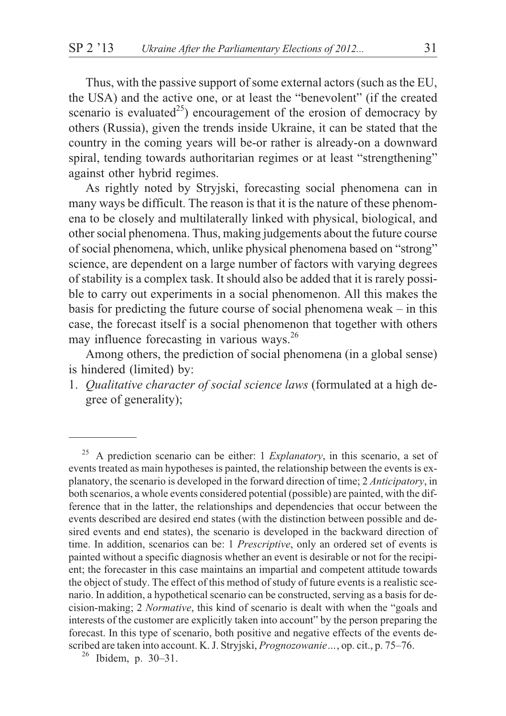Thus, with the passive support of some external actors (such as the EU, the USA) and the active one, or at least the "benevolent" (if the created scenario is evaluated<sup>25</sup>) encouragement of the erosion of democracy by others (Russia), given the trends inside Ukraine, it can be stated that the country in the coming years will be-or rather is already-on a downward spiral, tending towards authoritarian regimes or at least "strengthening" against other hybrid regimes.

As rightly noted by Stryjski, forecasting social phenomena can in many ways be difficult. The reason is that it is the nature of these phenomena to be closely and multilaterally linked with physical, biological, and other social phenomena. Thus, making judgements about the future course of social phenomena, which, unlike physical phenomena based on "strong" science, are dependent on a large number of factors with varying degrees of stability is a complex task. It should also be added that it is rarely possible to carry out experiments in a social phenomenon. All this makes the basis for predicting the future course of social phenomena weak – in this case, the forecast itself is a social phenomenon that together with others may influence forecasting in various ways. $^{26}$ 

Among others, the prediction of social phenomena (in a global sense) is hindered (limited) by:

1. *Qualitative character of social science laws* (formulated at a high degree of generality);

<sup>25</sup> A prediction scenario can be either: 1 *Explanatory*, in this scenario, a set of events treated as main hypotheses is painted, the relationship between the events is explanatory, the scenario is developed in the forward direction of time; 2 *Anticipatory*, in both scenarios, a whole events considered potential (possible) are painted, with the difference that in the latter, the relationships and dependencies that occur between the events described are desired end states (with the distinction between possible and desired events and end states), the scenario is developed in the backward direction of time. In addition, scenarios can be: 1 *Prescriptive*, only an ordered set of events is painted without a specific diagnosis whether an event is desirable or not for the recipient; the forecaster in this case maintains an impartial and competent attitude towards the object of study. The effect of this method of study of future events is a realistic scenario. In addition, a hypothetical scenario can be constructed, serving as a basis for decision-making; 2 *Normative*, this kind of scenario is dealt with when the "goals and interests of the customer are explicitly taken into account" by the person preparing the forecast. In this type of scenario, both positive and negative effects of the events described are taken into account. K. J. Stryjski, *Prognozowanie* ..., op. cit., p. 75–76.<br><sup>26</sup> Ibidem, p. 30–31.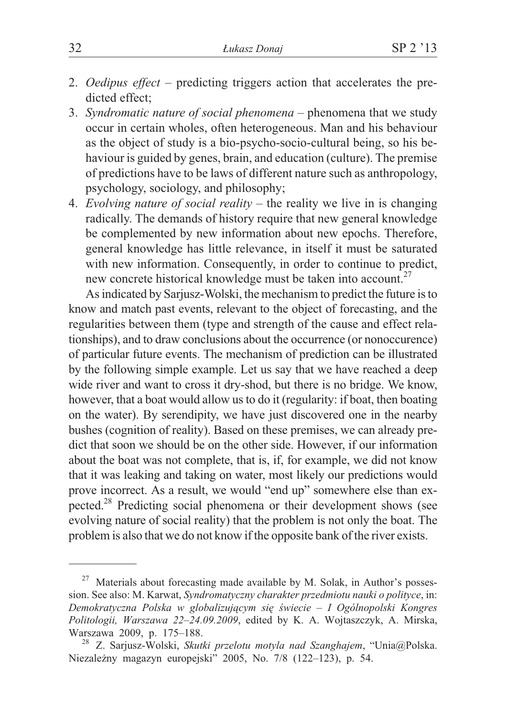- 2. *Oedipus effect –* predicting triggers action that accelerates the predicted effect;
- 3. *Syndromatic nature of social phenomena –* phenomena that we study occur in certain wholes, often heterogeneous. Man and his behaviour as the object of study is a bio-psycho-socio-cultural being, so his behaviour is guided by genes, brain, and education (culture). The premise of predictions have to be laws of different nature such as anthropology, psychology, sociology, and philosophy;
- 4. *Evolving nature of social reality –* the reality we live in is changing radically. The demands of history require that new general knowledge be complemented by new information about new epochs. Therefore, general knowledge has little relevance, in itself it must be saturated with new information. Consequently, in order to continue to predict, new concrete historical knowledge must be taken into account.<sup>27</sup>

As indicated by Sarjusz-Wolski, the mechanism to predict the future is to know and match past events, relevant to the object of forecasting, and the regularities between them (type and strength of the cause and effect relationships), and to draw conclusions about the occurrence (or nonoccurence) of particular future events. The mechanism of prediction can be illustrated by the following simple example. Let us say that we have reached a deep wide river and want to cross it dry-shod, but there is no bridge. We know, however, that a boat would allow us to do it (regularity: if boat, then boating on the water). By serendipity, we have just discovered one in the nearby bushes (cognition of reality). Based on these premises, we can already predict that soon we should be on the other side. However, if our information about the boat was not complete, that is, if, for example, we did not know that it was leaking and taking on water, most likely our predictions would prove incorrect. As a result, we would "end up" somewhere else than expected.28 Predicting social phenomena or their development shows (see evolving nature of social reality) that the problem is not only the boat. The problem is also that we do not know if the opposite bank of the river exists.

 $27$  Materials about forecasting made available by M. Solak, in Author's possession. See also: M. Karwat, *Syndromatyczny charakter przedmiotu nauki o polityce*, in: Demokratyczna Polska w globalizującym się świecie - I Ogólnopolski Kongres *Politologii, Warszawa 22–24.09.2009*, edited by K. A. Wojtaszczyk, A. Mirska, Warszawa 2009, p. 175–188. <sup>28</sup> Z. Sarjusz-Wolski, *Skutki przelotu motyla nad Szanghajem*, "Unia@Polska.

Niezależny magazyn europejski" 2005, No. 7/8 (122-123), p. 54.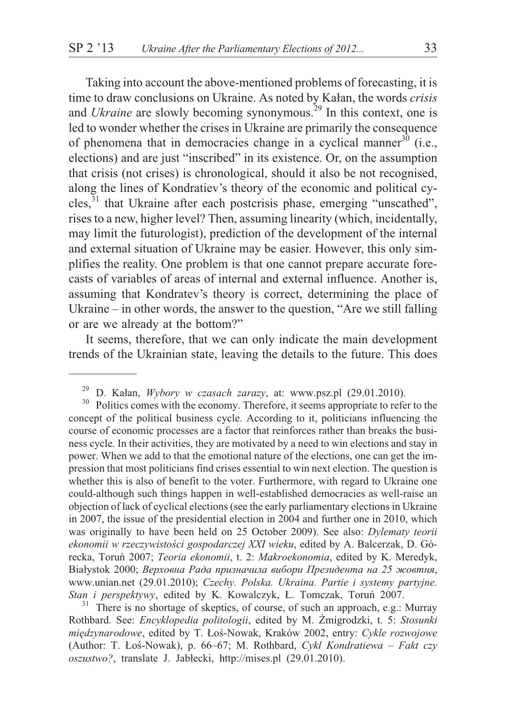Taking into account the above-mentioned problems of forecasting, it is time to draw conclusions on Ukraine. As noted by Kałan, the words *crisis* and *Ukraine* are slowly becoming synonymous.<sup>29</sup> In this context, one is led to wonder whether the crises in Ukraine are primarily the consequence of phenomena that in democracies change in a cyclical manner<sup>30</sup> (i.e., elections) and are just "inscribed" in its existence. Or, on the assumption that crisis (not crises) is chronological, should it also be not recognised, along the lines of Kondratiev's theory of the economic and political cy $c$ les, $31$  that Ukraine after each postcrisis phase, emerging "unscathed", rises to a new, higher level? Then, assuming linearity (which, incidentally, may limit the futurologist), prediction of the development of the internal and external situation of Ukraine may be easier. However, this only simplifies the reality. One problem is that one cannot prepare accurate forecasts of variables of areas of internal and external influence. Another is, assuming that Kondratev's theory is correct, determining the place of Ukraine – in other words, the answer to the question, "Are we still falling or are we already at the bottom?"

It seems, therefore, that we can only indicate the main development trends of the Ukrainian state, leaving the details to the future. This does

Rothbard. See: *Encyklopedia politologii*, edited by M. Żmigrodzki, t. 5: Stosunki *miêdzynarodowe*, edited by T. £oœ-Nowak, Kraków 2002, entry: *Cykle rozwojowe* (Author: T. £oœ-Nowak), p. 66–67; M. Rothbard, *Cykl Kondratiewa – Fakt czy oszustwo?*, translate J. Jab³ecki, http://mises.pl (29.01.2010).

<sup>&</sup>lt;sup>29</sup> D. Kałan, *Wybory w czasach zarazy*, at: www.psz.pl (29.01.2010).<br><sup>30</sup> Politics comes with the economy. Therefore, it seems appropriate to refer to the

concept of the political business cycle. According to it, politicians influencing the course of economic processes are a factor that reinforces rather than breaks the business cycle. In their activities, they are motivated by a need to win elections and stay in power. When we add to that the emotional nature of the elections, one can get the impression that most politicians find crises essential to win next election. The question is whether this is also of benefit to the voter. Furthermore, with regard to Ukraine one could-although such things happen in well-established democracies as well-raise an objection of lack of cyclical elections (see the early parliamentary elections in Ukraine in 2007, the issue of the presidential election in 2004 and further one in 2010, which was originally to have been held on 25 October 2009). See also: *Dylematy teorii* ekonomii w rzeczywistości gospodarczej XXI wieku, edited by A. Balcerzak, D. Górecka, Toruñ 2007; *Teoria ekonomii*, t. 2: *Makroekonomia*, edited by K. Meredyk, Białystok 2000; Верховна Рада призначила вибори Президента на 25 жовтня, www.unian.net (29.01.2010); *Czechy. Polska. Ukraina. Partie i systemy partyjne. Stan i perspektywy*, edited by K. Kowalczyk, £. Tomczak, Toruñ 2007. <sup>31</sup> There is no shortage of skeptics, of course, of such an approach, e.g.: Murray